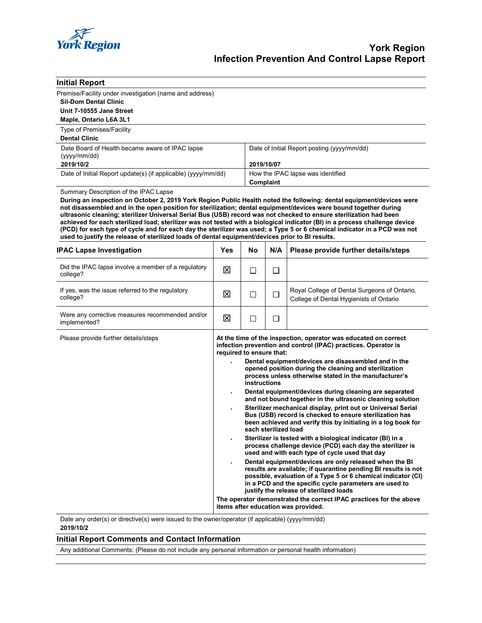

| <b>Initial Report</b>                                                                                                                                                                                                                                                                                                                                                                                                                                                             |                          |                                                |            |                                                                                                                                                                                                                                                                                                                                                                                                                                                                                                                                                                                                                                                                                                                                                                                                                                                                                                                                                                                                                                                                                                                                                                                                                                                     |  |
|-----------------------------------------------------------------------------------------------------------------------------------------------------------------------------------------------------------------------------------------------------------------------------------------------------------------------------------------------------------------------------------------------------------------------------------------------------------------------------------|--------------------------|------------------------------------------------|------------|-----------------------------------------------------------------------------------------------------------------------------------------------------------------------------------------------------------------------------------------------------------------------------------------------------------------------------------------------------------------------------------------------------------------------------------------------------------------------------------------------------------------------------------------------------------------------------------------------------------------------------------------------------------------------------------------------------------------------------------------------------------------------------------------------------------------------------------------------------------------------------------------------------------------------------------------------------------------------------------------------------------------------------------------------------------------------------------------------------------------------------------------------------------------------------------------------------------------------------------------------------|--|
| Premise/Facility under investigation (name and address)                                                                                                                                                                                                                                                                                                                                                                                                                           |                          |                                                |            |                                                                                                                                                                                                                                                                                                                                                                                                                                                                                                                                                                                                                                                                                                                                                                                                                                                                                                                                                                                                                                                                                                                                                                                                                                                     |  |
| <b>Sil-Dom Dental Clinic</b>                                                                                                                                                                                                                                                                                                                                                                                                                                                      |                          |                                                |            |                                                                                                                                                                                                                                                                                                                                                                                                                                                                                                                                                                                                                                                                                                                                                                                                                                                                                                                                                                                                                                                                                                                                                                                                                                                     |  |
| Unit 7-10555 Jane Street                                                                                                                                                                                                                                                                                                                                                                                                                                                          |                          |                                                |            |                                                                                                                                                                                                                                                                                                                                                                                                                                                                                                                                                                                                                                                                                                                                                                                                                                                                                                                                                                                                                                                                                                                                                                                                                                                     |  |
| Maple, Ontario L6A 3L1                                                                                                                                                                                                                                                                                                                                                                                                                                                            |                          |                                                |            |                                                                                                                                                                                                                                                                                                                                                                                                                                                                                                                                                                                                                                                                                                                                                                                                                                                                                                                                                                                                                                                                                                                                                                                                                                                     |  |
| Type of Premises/Facility                                                                                                                                                                                                                                                                                                                                                                                                                                                         |                          |                                                |            |                                                                                                                                                                                                                                                                                                                                                                                                                                                                                                                                                                                                                                                                                                                                                                                                                                                                                                                                                                                                                                                                                                                                                                                                                                                     |  |
| <b>Dental Clinic</b>                                                                                                                                                                                                                                                                                                                                                                                                                                                              |                          |                                                |            |                                                                                                                                                                                                                                                                                                                                                                                                                                                                                                                                                                                                                                                                                                                                                                                                                                                                                                                                                                                                                                                                                                                                                                                                                                                     |  |
| Date Board of Health became aware of IPAC lapse<br>(yyyy/mm/dd)                                                                                                                                                                                                                                                                                                                                                                                                                   |                          | Date of Initial Report posting (yyyy/mm/dd)    |            |                                                                                                                                                                                                                                                                                                                                                                                                                                                                                                                                                                                                                                                                                                                                                                                                                                                                                                                                                                                                                                                                                                                                                                                                                                                     |  |
| 2019/10/2                                                                                                                                                                                                                                                                                                                                                                                                                                                                         |                          |                                                | 2019/10/07 |                                                                                                                                                                                                                                                                                                                                                                                                                                                                                                                                                                                                                                                                                                                                                                                                                                                                                                                                                                                                                                                                                                                                                                                                                                                     |  |
| Date of Initial Report update(s) (if applicable) (yyyy/mm/dd)                                                                                                                                                                                                                                                                                                                                                                                                                     |                          | How the IPAC lapse was identified<br>Complaint |            |                                                                                                                                                                                                                                                                                                                                                                                                                                                                                                                                                                                                                                                                                                                                                                                                                                                                                                                                                                                                                                                                                                                                                                                                                                                     |  |
| Summary Description of the IPAC Lapse<br>During an inspection on October 2, 2019 York Region Public Health noted the following: dental equipment/devices were<br>not disassembled and in the open position for sterilization; dental equipment/devices were bound together during                                                                                                                                                                                                 |                          |                                                |            |                                                                                                                                                                                                                                                                                                                                                                                                                                                                                                                                                                                                                                                                                                                                                                                                                                                                                                                                                                                                                                                                                                                                                                                                                                                     |  |
| ultrasonic cleaning; sterilizer Universal Serial Bus (USB) record was not checked to ensure sterilization had been<br>achieved for each sterilized load; sterilizer was not tested with a biological indicator (BI) in a process challenge device<br>(PCD) for each type of cycle and for each day the sterilizer was used; a Type 5 or 6 chemical indicator in a PCD was not<br>used to justify the release of sterilized loads of dental equipment/devices prior to BI results. |                          |                                                |            |                                                                                                                                                                                                                                                                                                                                                                                                                                                                                                                                                                                                                                                                                                                                                                                                                                                                                                                                                                                                                                                                                                                                                                                                                                                     |  |
| <b>IPAC Lapse Investigation</b>                                                                                                                                                                                                                                                                                                                                                                                                                                                   | Yes                      | No                                             | N/A        | Please provide further details/steps                                                                                                                                                                                                                                                                                                                                                                                                                                                                                                                                                                                                                                                                                                                                                                                                                                                                                                                                                                                                                                                                                                                                                                                                                |  |
| Did the IPAC lapse involve a member of a regulatory<br>college?                                                                                                                                                                                                                                                                                                                                                                                                                   | ⊠                        | $\Box$                                         | $\Box$     |                                                                                                                                                                                                                                                                                                                                                                                                                                                                                                                                                                                                                                                                                                                                                                                                                                                                                                                                                                                                                                                                                                                                                                                                                                                     |  |
| If yes, was the issue referred to the regulatory<br>college?                                                                                                                                                                                                                                                                                                                                                                                                                      | 区                        | □                                              | $\Box$     | Royal College of Dental Surgeons of Ontario,<br>College of Dental Hygienists of Ontario                                                                                                                                                                                                                                                                                                                                                                                                                                                                                                                                                                                                                                                                                                                                                                                                                                                                                                                                                                                                                                                                                                                                                             |  |
| Were any corrective measures recommended and/or<br>implemented?                                                                                                                                                                                                                                                                                                                                                                                                                   | 図                        | $\Box$                                         | $\Box$     |                                                                                                                                                                                                                                                                                                                                                                                                                                                                                                                                                                                                                                                                                                                                                                                                                                                                                                                                                                                                                                                                                                                                                                                                                                                     |  |
| Please provide further details/steps                                                                                                                                                                                                                                                                                                                                                                                                                                              | required to ensure that: | instructions                                   |            | At the time of the inspection, operator was educated on correct<br>infection prevention and control (IPAC) practices. Operator is<br>Dental equipment/devices are disassembled and in the<br>opened position during the cleaning and sterilization<br>process unless otherwise stated in the manufacturer's<br>Dental equipment/devices during cleaning are separated<br>and not bound together in the ultrasonic cleaning solution<br>Sterilizer mechanical display, print out or Universal Serial<br>Bus (USB) record is checked to ensure sterilization has<br>been achieved and verify this by initialing in a log book for<br>each sterilized load<br>Sterilizer is tested with a biological indicator (BI) in a<br>process challenge device (PCD) each day the sterilizer is<br>used and with each type of cycle used that day<br>Dental equipment/devices are only released when the BI<br>results are available; if quarantine pending BI results is not<br>possible, evaluation of a Type 5 or 6 chemical indicator (CI)<br>in a PCD and the specific cycle parameters are used to<br>justify the release of sterilized loads<br>The operator demonstrated the correct IPAC practices for the above<br>items after education was provided. |  |

Date any order(s) or directive(s) were issued to the owner/operator (if applicable) (yyyy/mm/dd) **2019/10/2**

## **Initial Report Comments and Contact Information**

Any additional Comments: (Please do not include any personal information or personal health information)